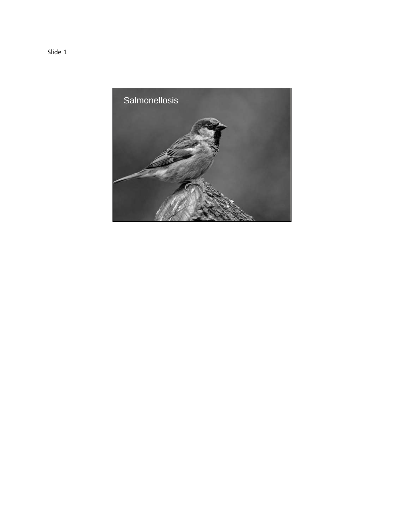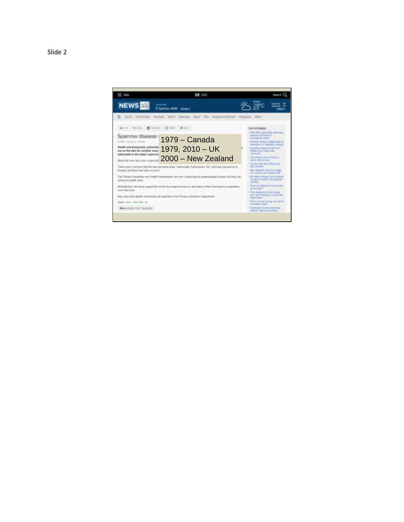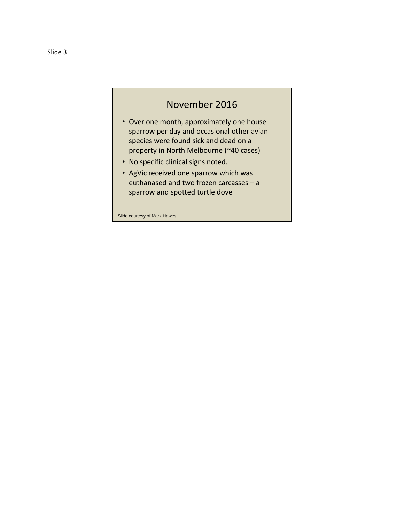## November 2016

- Over one month, approximately one house sparrow per day and occasional other avian species were found sick and dead on a property in North Melbourne (~40 cases)
- No specific clinical signs noted.
- AgVic received one sparrow which was euthanased and two frozen carcasses – a sparrow and spotted turtle dove

Slide courtesy of Mark Hawes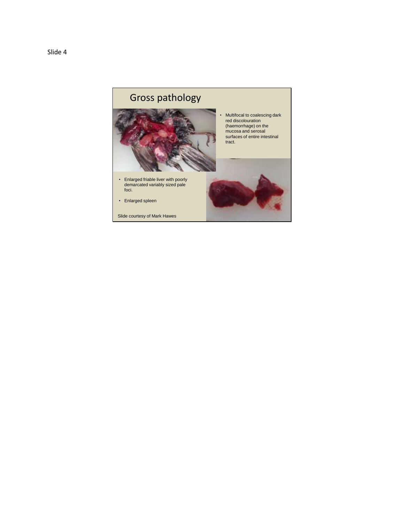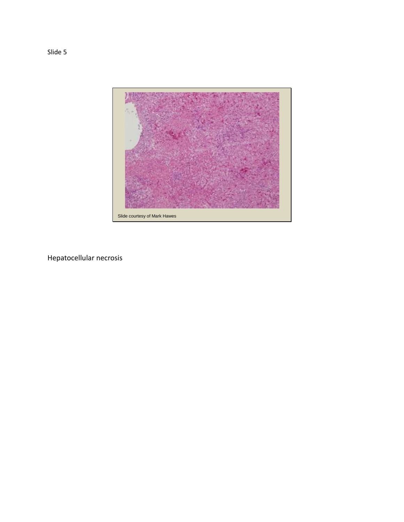

Hepatocellular necrosis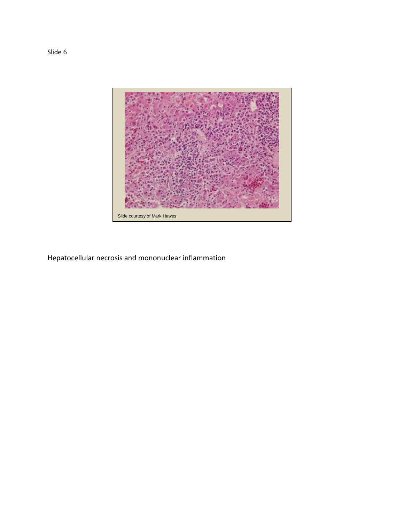

Hepatocellular necrosis and mononuclear inflammation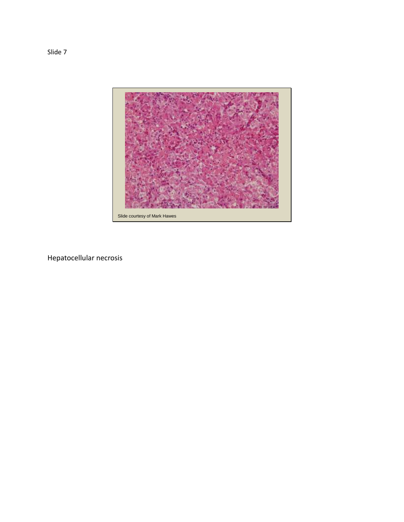

Hepatocellular necrosis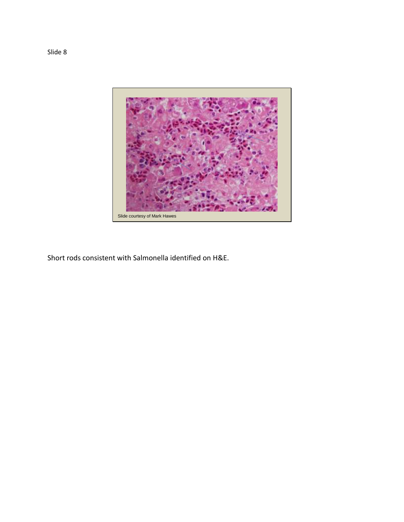

Short rods consistent with Salmonella identified on H&E.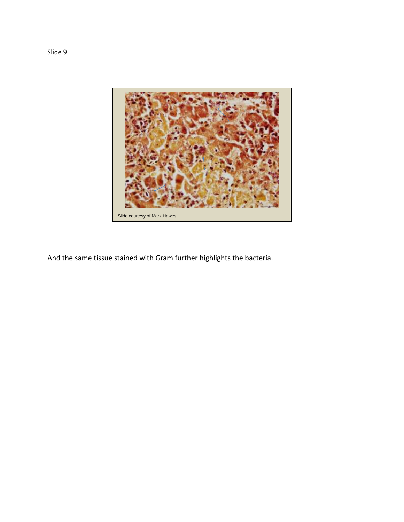

And the same tissue stained with Gram further highlights the bacteria.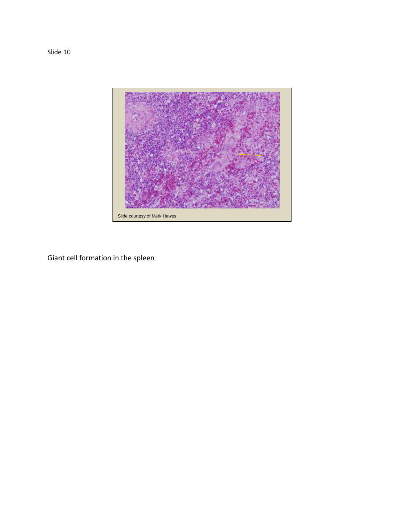Slide 10



Giant cell formation in the spleen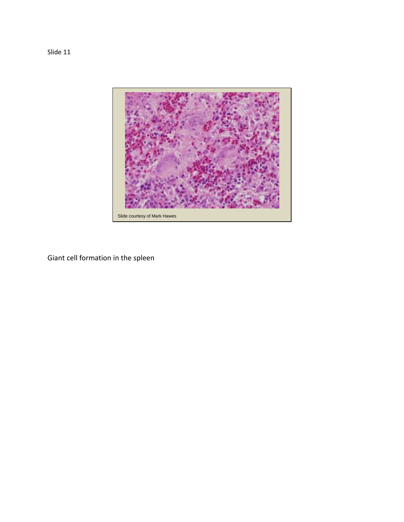

Giant cell formation in the spleen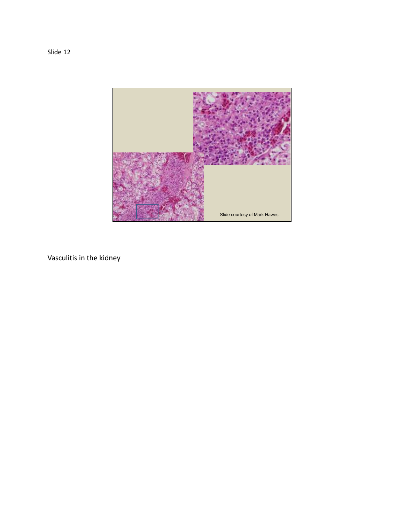

Vasculitis in the kidney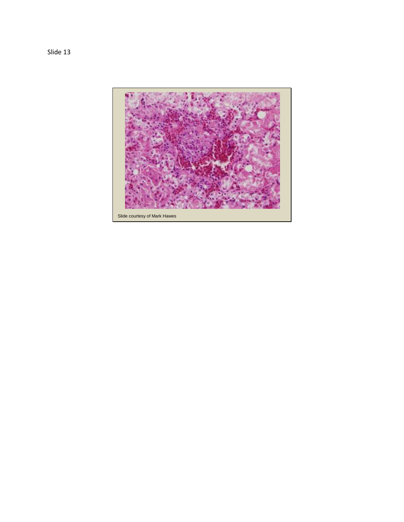

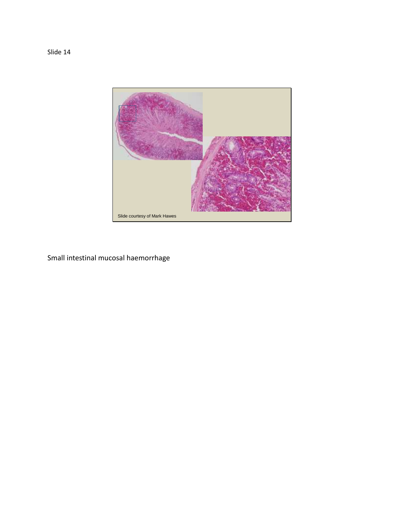

Small intestinal mucosal haemorrhage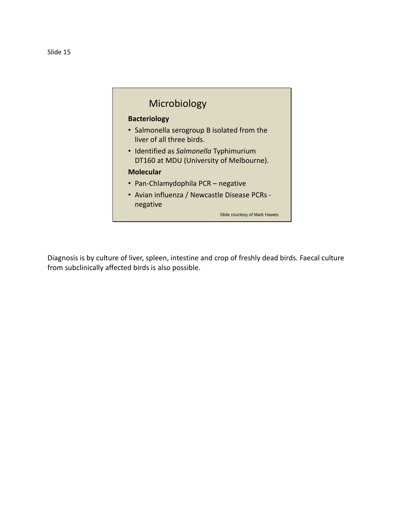

Diagnosis is by culture of liver, spleen, intestine and crop of freshly dead birds. Faecal culture from subclinically affected birds is also possible.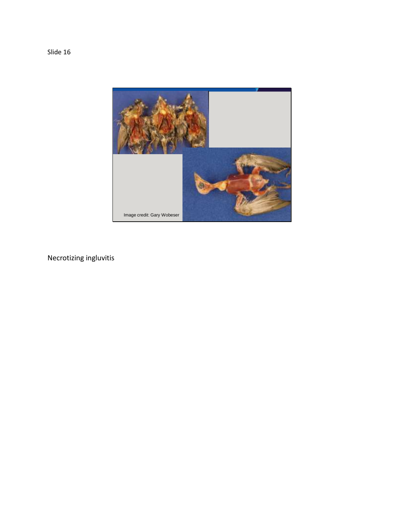

Necrotizing ingluvitis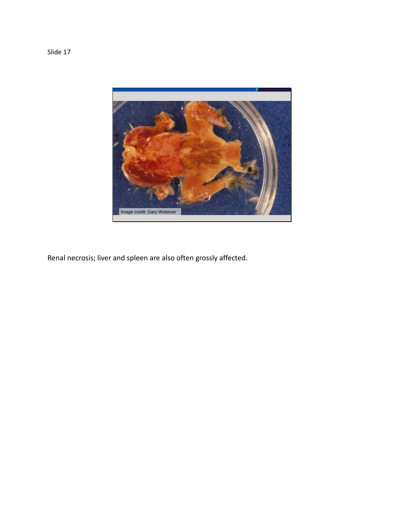

Renal necrosis; liver and spleen are also often grossly affected.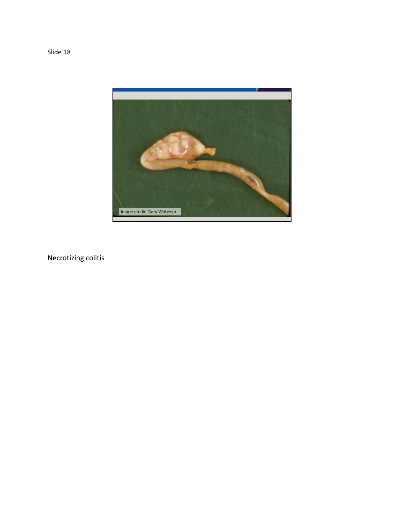

Necrotizing colitis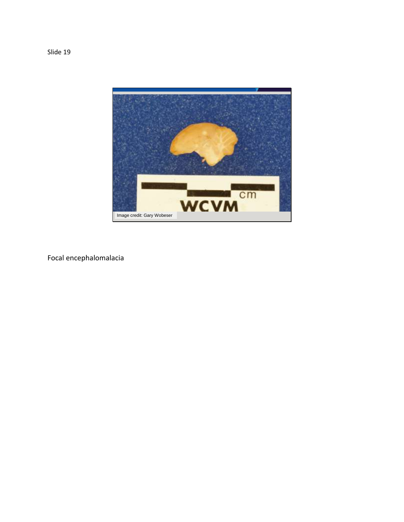

Focal encephalomalacia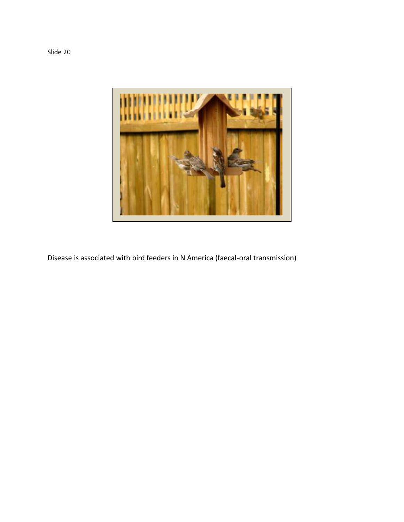

Disease is associated with bird feeders in N America (faecal-oral transmission)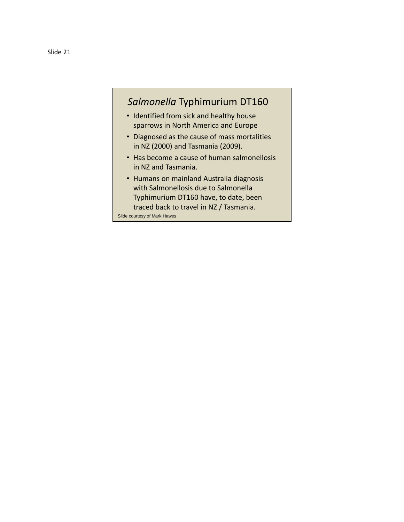## *Salmonella* Typhimurium DT160

- Identified from sick and healthy house sparrows in North America and Europe
- Diagnosed as the cause of mass mortalities in NZ (2000) and Tasmania (2009).
- Has become a cause of human salmonellosis in NZ and Tasmania.
- Humans on mainland Australia diagnosis with Salmonellosis due to Salmonella Typhimurium DT160 have, to date, been traced back to travel in NZ / Tasmania. Slide courtesy of Mark Hawes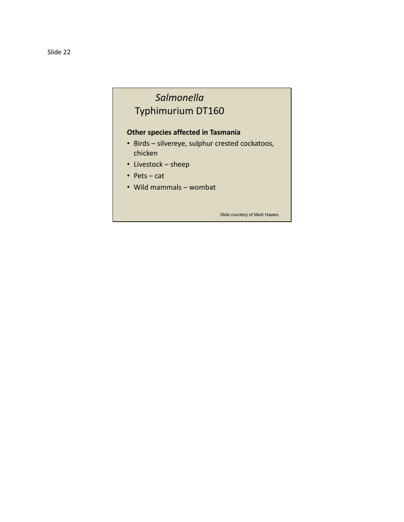# *Salmonella* Typhimurium DT160

### **Other species affected in Tasmania**

- Birds silvereye, sulphur crested cockatoos, chicken
- Livestock sheep
- Pets cat
- Wild mammals wombat

Slide courtesy of Mark Hawes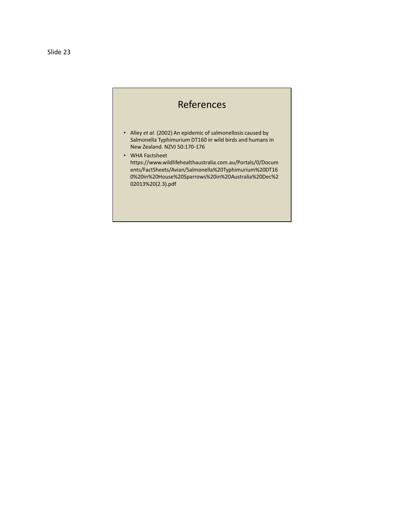#### Slide 23

## References

- Alley *et al.* (2002) An epidemic of salmonellosis caused by Salmonella Typhimurium DT160 in wild birds and humans in New Zealand. NZVJ 50:170-176
- WHA Factsheet https://www.wildlifehealthaustralia.com.au/Portals/0/Docum ents/FactSheets/Avian/Salmonella%20Typhimurium%20DT16 0%20in%20House%20Sparrows%20in%20Australia%20Dec%2 02013%20(2.3).pdf